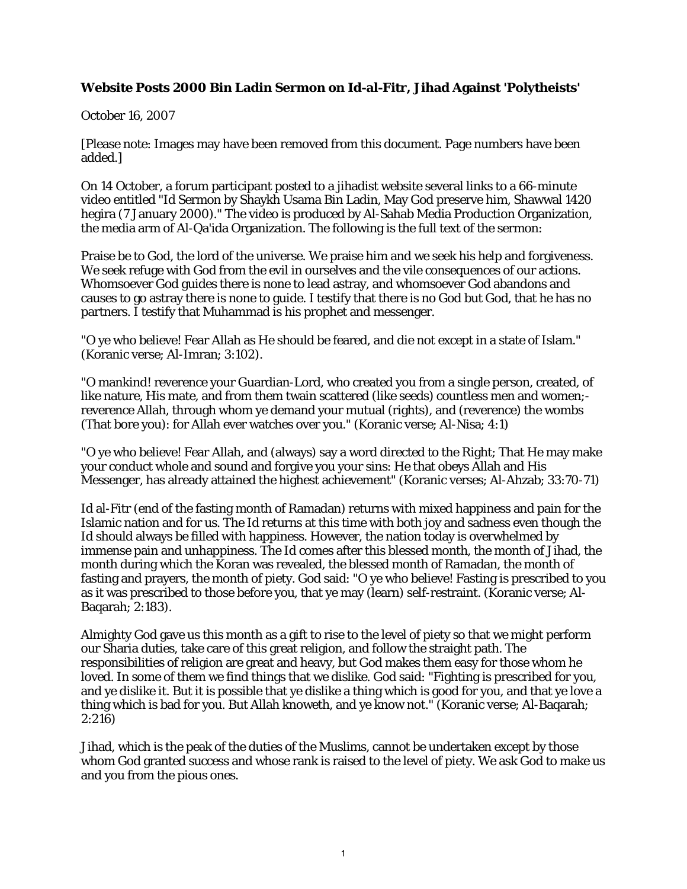## **Website Posts 2000 Bin Ladin Sermon on Id-al-Fitr, Jihad Against 'Polytheists'**

October 16, 2007

[Please note: Images may have been removed from this document. Page numbers have been added.]

On 14 October, a forum participant posted to a jihadist website several links to a 66-minute video entitled "Id Sermon by Shaykh Usama Bin Ladin, May God preserve him, Shawwal 1420 hegira (7 January 2000)." The video is produced by Al-Sahab Media Production Organization, the media arm of Al-Qa'ida Organization. The following is the full text of the sermon:

Praise be to God, the lord of the universe. We praise him and we seek his help and forgiveness. We seek refuge with God from the evil in ourselves and the vile consequences of our actions. Whomsoever God guides there is none to lead astray, and whomsoever God abandons and causes to go astray there is none to guide. I testify that there is no God but God, that he has no partners. I testify that Muhammad is his prophet and messenger.

"O ye who believe! Fear Allah as He should be feared, and die not except in a state of Islam." (Koranic verse; Al-Imran; 3:102).

"O mankind! reverence your Guardian-Lord, who created you from a single person, created, of like nature, His mate, and from them twain scattered (like seeds) countless men and women; reverence Allah, through whom ye demand your mutual (rights), and (reverence) the wombs (That bore you): for Allah ever watches over you." (Koranic verse; Al-Nisa; 4:1)

"O ye who believe! Fear Allah, and (always) say a word directed to the Right; That He may make your conduct whole and sound and forgive you your sins: He that obeys Allah and His Messenger, has already attained the highest achievement" (Koranic verses; Al-Ahzab; 33:70-71)

Id al-Fitr (end of the fasting month of Ramadan) returns with mixed happiness and pain for the Islamic nation and for us. The Id returns at this time with both joy and sadness even though the Id should always be filled with happiness. However, the nation today is overwhelmed by immense pain and unhappiness. The Id comes after this blessed month, the month of Jihad, the month during which the Koran was revealed, the blessed month of Ramadan, the month of fasting and prayers, the month of piety. God said: "O ye who believe! Fasting is prescribed to you as it was prescribed to those before you, that ye may (learn) self-restraint. (Koranic verse; Al-Baqarah; 2:183).

Almighty God gave us this month as a gift to rise to the level of piety so that we might perform our Sharia duties, take care of this great religion, and follow the straight path. The responsibilities of religion are great and heavy, but God makes them easy for those whom he loved. In some of them we find things that we dislike. God said: "Fighting is prescribed for you, and ye dislike it. But it is possible that ye dislike a thing which is good for you, and that ye love a thing which is bad for you. But Allah knoweth, and ye know not." (Koranic verse; Al-Baqarah;  $2:216$ 

Jihad, which is the peak of the duties of the Muslims, cannot be undertaken except by those whom God granted success and whose rank is raised to the level of piety. We ask God to make us and you from the pious ones.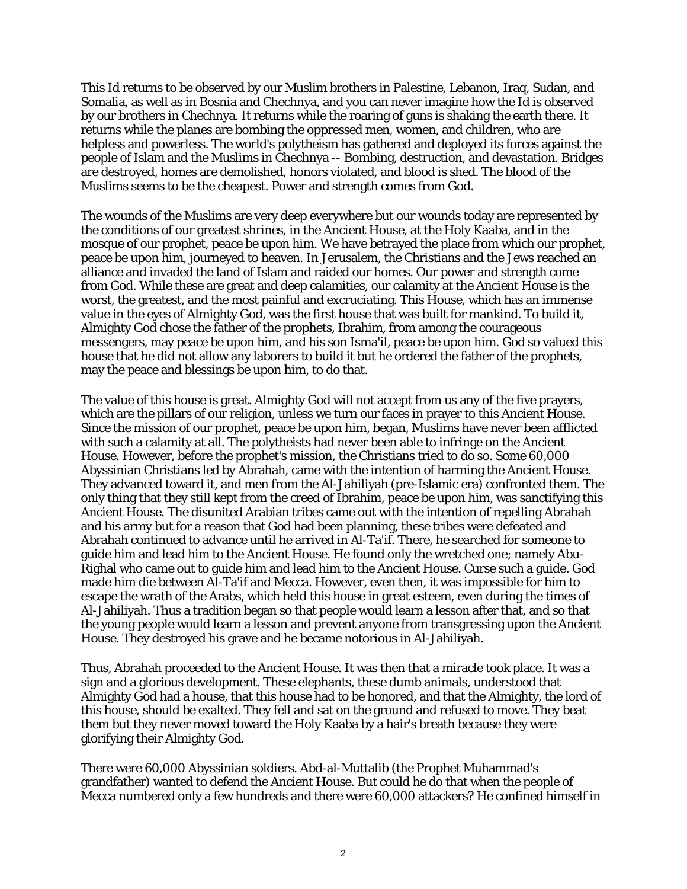This Id returns to be observed by our Muslim brothers in Palestine, Lebanon, Iraq, Sudan, and Somalia, as well as in Bosnia and Chechnya, and you can never imagine how the Id is observed by our brothers in Chechnya. It returns while the roaring of guns is shaking the earth there. It returns while the planes are bombing the oppressed men, women, and children, who are helpless and powerless. The world's polytheism has gathered and deployed its forces against the people of Islam and the Muslims in Chechnya -- Bombing, destruction, and devastation. Bridges are destroyed, homes are demolished, honors violated, and blood is shed. The blood of the Muslims seems to be the cheapest. Power and strength comes from God.

The wounds of the Muslims are very deep everywhere but our wounds today are represented by the conditions of our greatest shrines, in the Ancient House, at the Holy Kaaba, and in the mosque of our prophet, peace be upon him. We have betrayed the place from which our prophet, peace be upon him, journeyed to heaven. In Jerusalem, the Christians and the Jews reached an alliance and invaded the land of Islam and raided our homes. Our power and strength come from God. While these are great and deep calamities, our calamity at the Ancient House is the worst, the greatest, and the most painful and excruciating. This House, which has an immense value in the eyes of Almighty God, was the first house that was built for mankind. To build it, Almighty God chose the father of the prophets, Ibrahim, from among the courageous messengers, may peace be upon him, and his son Isma'il, peace be upon him. God so valued this house that he did not allow any laborers to build it but he ordered the father of the prophets, may the peace and blessings be upon him, to do that.

The value of this house is great. Almighty God will not accept from us any of the five prayers, which are the pillars of our religion, unless we turn our faces in prayer to this Ancient House. Since the mission of our prophet, peace be upon him, began, Muslims have never been afflicted with such a calamity at all. The polytheists had never been able to infringe on the Ancient House. However, before the prophet's mission, the Christians tried to do so. Some 60,000 Abyssinian Christians led by Abrahah, came with the intention of harming the Ancient House. They advanced toward it, and men from the Al-Jahiliyah (pre-Islamic era) confronted them. The only thing that they still kept from the creed of Ibrahim, peace be upon him, was sanctifying this Ancient House. The disunited Arabian tribes came out with the intention of repelling Abrahah and his army but for a reason that God had been planning, these tribes were defeated and Abrahah continued to advance until he arrived in Al-Ta'if. There, he searched for someone to guide him and lead him to the Ancient House. He found only the wretched one; namely Abu-Righal who came out to guide him and lead him to the Ancient House. Curse such a guide. God made him die between Al-Ta'if and Mecca. However, even then, it was impossible for him to escape the wrath of the Arabs, which held this house in great esteem, even during the times of Al-Jahiliyah. Thus a tradition began so that people would learn a lesson after that, and so that the young people would learn a lesson and prevent anyone from transgressing upon the Ancient House. They destroyed his grave and he became notorious in Al-Jahiliyah.

Thus, Abrahah proceeded to the Ancient House. It was then that a miracle took place. It was a sign and a glorious development. These elephants, these dumb animals, understood that Almighty God had a house, that this house had to be honored, and that the Almighty, the lord of this house, should be exalted. They fell and sat on the ground and refused to move. They beat them but they never moved toward the Holy Kaaba by a hair's breath because they were glorifying their Almighty God.

There were 60,000 Abyssinian soldiers. Abd-al-Muttalib (the Prophet Muhammad's grandfather) wanted to defend the Ancient House. But could he do that when the people of Mecca numbered only a few hundreds and there were 60,000 attackers? He confined himself in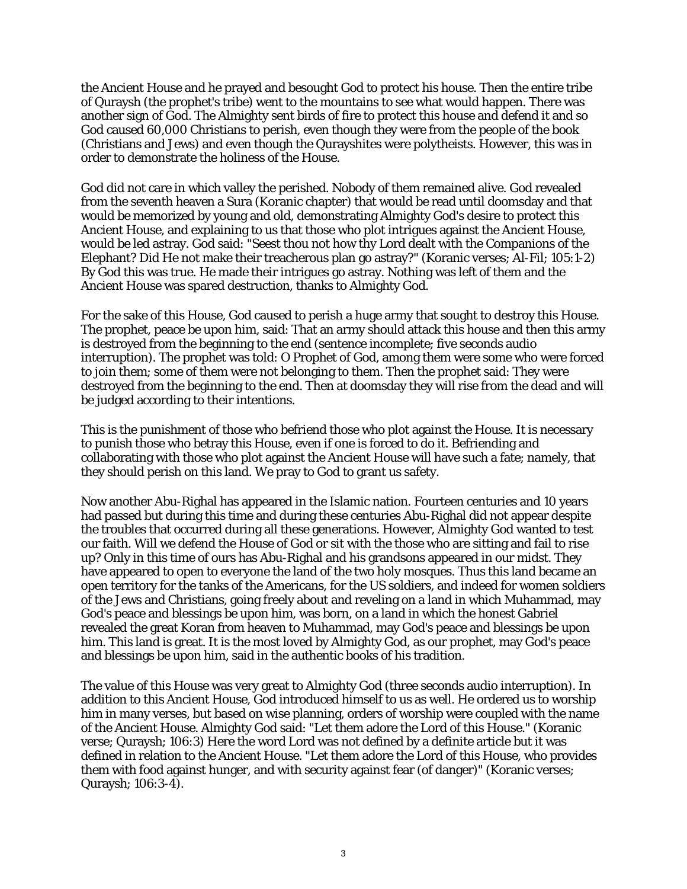the Ancient House and he prayed and besought God to protect his house. Then the entire tribe of Quraysh (the prophet's tribe) went to the mountains to see what would happen. There was another sign of God. The Almighty sent birds of fire to protect this house and defend it and so God caused 60,000 Christians to perish, even though they were from the people of the book (Christians and Jews) and even though the Qurayshites were polytheists. However, this was in order to demonstrate the holiness of the House.

God did not care in which valley the perished. Nobody of them remained alive. God revealed from the seventh heaven a Sura (Koranic chapter) that would be read until doomsday and that would be memorized by young and old, demonstrating Almighty God's desire to protect this Ancient House, and explaining to us that those who plot intrigues against the Ancient House, would be led astray. God said: "Seest thou not how thy Lord dealt with the Companions of the Elephant? Did He not make their treacherous plan go astray?" (Koranic verses; Al-Fil; 105:1-2) By God this was true. He made their intrigues go astray. Nothing was left of them and the Ancient House was spared destruction, thanks to Almighty God.

For the sake of this House, God caused to perish a huge army that sought to destroy this House. The prophet, peace be upon him, said: That an army should attack this house and then this army is destroyed from the beginning to the end (sentence incomplete; five seconds audio interruption). The prophet was told: O Prophet of God, among them were some who were forced to join them; some of them were not belonging to them. Then the prophet said: They were destroyed from the beginning to the end. Then at doomsday they will rise from the dead and will be judged according to their intentions.

This is the punishment of those who befriend those who plot against the House. It is necessary to punish those who betray this House, even if one is forced to do it. Befriending and collaborating with those who plot against the Ancient House will have such a fate; namely, that they should perish on this land. We pray to God to grant us safety.

Now another Abu-Righal has appeared in the Islamic nation. Fourteen centuries and 10 years had passed but during this time and during these centuries Abu-Righal did not appear despite the troubles that occurred during all these generations. However, Almighty God wanted to test our faith. Will we defend the House of God or sit with the those who are sitting and fail to rise up? Only in this time of ours has Abu-Righal and his grandsons appeared in our midst. They have appeared to open to everyone the land of the two holy mosques. Thus this land became an open territory for the tanks of the Americans, for the US soldiers, and indeed for women soldiers of the Jews and Christians, going freely about and reveling on a land in which Muhammad, may God's peace and blessings be upon him, was born, on a land in which the honest Gabriel revealed the great Koran from heaven to Muhammad, may God's peace and blessings be upon him. This land is great. It is the most loved by Almighty God, as our prophet, may God's peace and blessings be upon him, said in the authentic books of his tradition.

The value of this House was very great to Almighty God (three seconds audio interruption). In addition to this Ancient House, God introduced himself to us as well. He ordered us to worship him in many verses, but based on wise planning, orders of worship were coupled with the name of the Ancient House. Almighty God said: "Let them adore the Lord of this House." (Koranic verse; Quraysh; 106:3) Here the word Lord was not defined by a definite article but it was defined in relation to the Ancient House. "Let them adore the Lord of this House, who provides them with food against hunger, and with security against fear (of danger)" (Koranic verses; Quraysh; 106:3-4).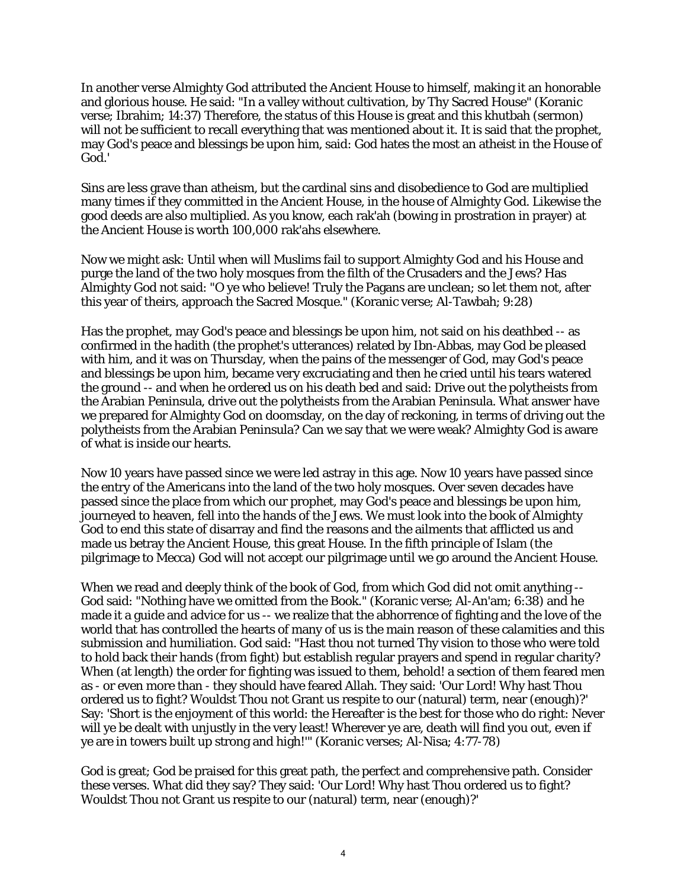In another verse Almighty God attributed the Ancient House to himself, making it an honorable and glorious house. He said: "In a valley without cultivation, by Thy Sacred House" (Koranic verse; Ibrahim; 14:37) Therefore, the status of this House is great and this khutbah (sermon) will not be sufficient to recall everything that was mentioned about it. It is said that the prophet, may God's peace and blessings be upon him, said: God hates the most an atheist in the House of God.'

Sins are less grave than atheism, but the cardinal sins and disobedience to God are multiplied many times if they committed in the Ancient House, in the house of Almighty God. Likewise the good deeds are also multiplied. As you know, each rak'ah (bowing in prostration in prayer) at the Ancient House is worth 100,000 rak'ahs elsewhere.

Now we might ask: Until when will Muslims fail to support Almighty God and his House and purge the land of the two holy mosques from the filth of the Crusaders and the Jews? Has Almighty God not said: "O ye who believe! Truly the Pagans are unclean; so let them not, after this year of theirs, approach the Sacred Mosque." (Koranic verse; Al-Tawbah; 9:28)

Has the prophet, may God's peace and blessings be upon him, not said on his deathbed -- as confirmed in the hadith (the prophet's utterances) related by Ibn-Abbas, may God be pleased with him, and it was on Thursday, when the pains of the messenger of God, may God's peace and blessings be upon him, became very excruciating and then he cried until his tears watered the ground -- and when he ordered us on his death bed and said: Drive out the polytheists from the Arabian Peninsula, drive out the polytheists from the Arabian Peninsula. What answer have we prepared for Almighty God on doomsday, on the day of reckoning, in terms of driving out the polytheists from the Arabian Peninsula? Can we say that we were weak? Almighty God is aware of what is inside our hearts.

Now 10 years have passed since we were led astray in this age. Now 10 years have passed since the entry of the Americans into the land of the two holy mosques. Over seven decades have passed since the place from which our prophet, may God's peace and blessings be upon him, journeyed to heaven, fell into the hands of the Jews. We must look into the book of Almighty God to end this state of disarray and find the reasons and the ailments that afflicted us and made us betray the Ancient House, this great House. In the fifth principle of Islam (the pilgrimage to Mecca) God will not accept our pilgrimage until we go around the Ancient House.

When we read and deeply think of the book of God, from which God did not omit anything -- God said: "Nothing have we omitted from the Book." (Koranic verse; Al-An'am; 6:38) and he made it a guide and advice for us -- we realize that the abhorrence of fighting and the love of the world that has controlled the hearts of many of us is the main reason of these calamities and this submission and humiliation. God said: "Hast thou not turned Thy vision to those who were told to hold back their hands (from fight) but establish regular prayers and spend in regular charity? When (at length) the order for fighting was issued to them, behold! a section of them feared men as - or even more than - they should have feared Allah. They said: 'Our Lord! Why hast Thou ordered us to fight? Wouldst Thou not Grant us respite to our (natural) term, near (enough)?' Say: 'Short is the enjoyment of this world: the Hereafter is the best for those who do right: Never will ye be dealt with unjustly in the very least! Wherever ye are, death will find you out, even if ye are in towers built up strong and high!'" (Koranic verses; Al-Nisa; 4:77-78)

God is great; God be praised for this great path, the perfect and comprehensive path. Consider these verses. What did they say? They said: 'Our Lord! Why hast Thou ordered us to fight? Wouldst Thou not Grant us respite to our (natural) term, near (enough)?'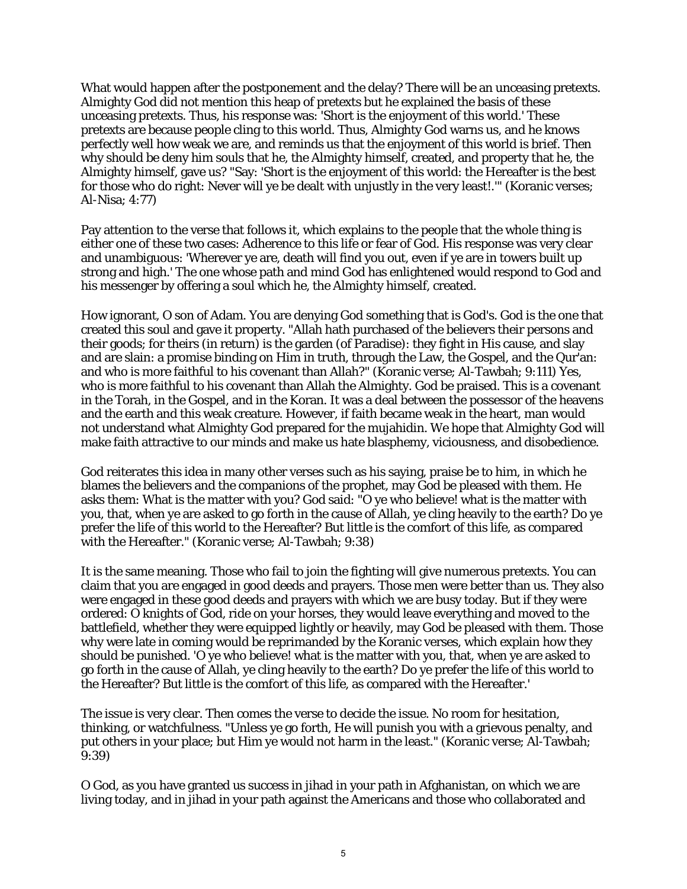What would happen after the postponement and the delay? There will be an unceasing pretexts. Almighty God did not mention this heap of pretexts but he explained the basis of these unceasing pretexts. Thus, his response was: 'Short is the enjoyment of this world.' These pretexts are because people cling to this world. Thus, Almighty God warns us, and he knows perfectly well how weak we are, and reminds us that the enjoyment of this world is brief. Then why should be deny him souls that he, the Almighty himself, created, and property that he, the Almighty himself, gave us? "Say: 'Short is the enjoyment of this world: the Hereafter is the best for those who do right: Never will ye be dealt with unjustly in the very least!.'" (Koranic verses; Al-Nisa; 4:77)

Pay attention to the verse that follows it, which explains to the people that the whole thing is either one of these two cases: Adherence to this life or fear of God. His response was very clear and unambiguous: 'Wherever ye are, death will find you out, even if ye are in towers built up strong and high.' The one whose path and mind God has enlightened would respond to God and his messenger by offering a soul which he, the Almighty himself, created.

How ignorant, O son of Adam. You are denying God something that is God's. God is the one that created this soul and gave it property. "Allah hath purchased of the believers their persons and their goods; for theirs (in return) is the garden (of Paradise): they fight in His cause, and slay and are slain: a promise binding on Him in truth, through the Law, the Gospel, and the Qur'an: and who is more faithful to his covenant than Allah?" (Koranic verse; Al-Tawbah; 9:111) Yes, who is more faithful to his covenant than Allah the Almighty. God be praised. This is a covenant in the Torah, in the Gospel, and in the Koran. It was a deal between the possessor of the heavens and the earth and this weak creature. However, if faith became weak in the heart, man would not understand what Almighty God prepared for the mujahidin. We hope that Almighty God will make faith attractive to our minds and make us hate blasphemy, viciousness, and disobedience.

God reiterates this idea in many other verses such as his saying, praise be to him, in which he blames the believers and the companions of the prophet, may God be pleased with them. He asks them: What is the matter with you? God said: "O ye who believe! what is the matter with you, that, when ye are asked to go forth in the cause of Allah, ye cling heavily to the earth? Do ye prefer the life of this world to the Hereafter? But little is the comfort of this life, as compared with the Hereafter." (Koranic verse; Al-Tawbah; 9:38)

It is the same meaning. Those who fail to join the fighting will give numerous pretexts. You can claim that you are engaged in good deeds and prayers. Those men were better than us. They also were engaged in these good deeds and prayers with which we are busy today. But if they were ordered: O knights of God, ride on your horses, they would leave everything and moved to the battlefield, whether they were equipped lightly or heavily, may God be pleased with them. Those why were late in coming would be reprimanded by the Koranic verses, which explain how they should be punished. 'O ye who believe! what is the matter with you, that, when ye are asked to go forth in the cause of Allah, ye cling heavily to the earth? Do ye prefer the life of this world to the Hereafter? But little is the comfort of this life, as compared with the Hereafter.'

The issue is very clear. Then comes the verse to decide the issue. No room for hesitation, thinking, or watchfulness. "Unless ye go forth, He will punish you with a grievous penalty, and put others in your place; but Him ye would not harm in the least." (Koranic verse; Al-Tawbah; 9:39)

O God, as you have granted us success in jihad in your path in Afghanistan, on which we are living today, and in jihad in your path against the Americans and those who collaborated and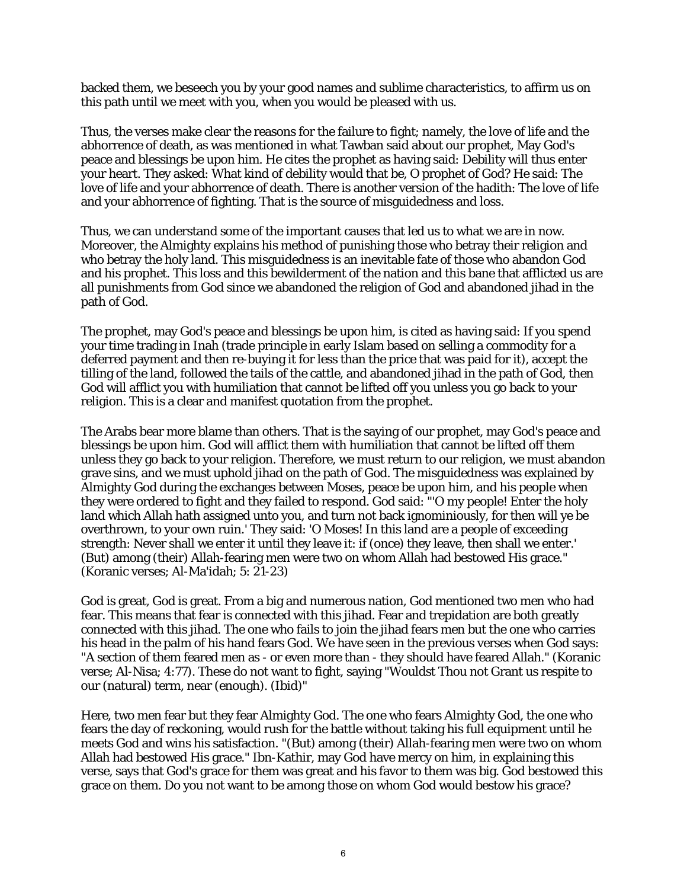backed them, we beseech you by your good names and sublime characteristics, to affirm us on this path until we meet with you, when you would be pleased with us.

Thus, the verses make clear the reasons for the failure to fight; namely, the love of life and the abhorrence of death, as was mentioned in what Tawban said about our prophet, May God's peace and blessings be upon him. He cites the prophet as having said: Debility will thus enter your heart. They asked: What kind of debility would that be, O prophet of God? He said: The love of life and your abhorrence of death. There is another version of the hadith: The love of life and your abhorrence of fighting. That is the source of misguidedness and loss.

Thus, we can understand some of the important causes that led us to what we are in now. Moreover, the Almighty explains his method of punishing those who betray their religion and who betray the holy land. This misguidedness is an inevitable fate of those who abandon God and his prophet. This loss and this bewilderment of the nation and this bane that afflicted us are all punishments from God since we abandoned the religion of God and abandoned jihad in the path of God.

The prophet, may God's peace and blessings be upon him, is cited as having said: If you spend your time trading in Inah (trade principle in early Islam based on selling a commodity for a deferred payment and then re-buying it for less than the price that was paid for it), accept the tilling of the land, followed the tails of the cattle, and abandoned jihad in the path of God, then God will afflict you with humiliation that cannot be lifted off you unless you go back to your religion. This is a clear and manifest quotation from the prophet.

The Arabs bear more blame than others. That is the saying of our prophet, may God's peace and blessings be upon him. God will afflict them with humiliation that cannot be lifted off them unless they go back to your religion. Therefore, we must return to our religion, we must abandon grave sins, and we must uphold jihad on the path of God. The misguidedness was explained by Almighty God during the exchanges between Moses, peace be upon him, and his people when they were ordered to fight and they failed to respond. God said: "'O my people! Enter the holy land which Allah hath assigned unto you, and turn not back ignominiously, for then will ye be overthrown, to your own ruin.' They said: 'O Moses! In this land are a people of exceeding strength: Never shall we enter it until they leave it: if (once) they leave, then shall we enter.' (But) among (their) Allah-fearing men were two on whom Allah had bestowed His grace." (Koranic verses; Al-Ma'idah; 5: 21-23)

God is great, God is great. From a big and numerous nation, God mentioned two men who had fear. This means that fear is connected with this jihad. Fear and trepidation are both greatly connected with this jihad. The one who fails to join the jihad fears men but the one who carries his head in the palm of his hand fears God. We have seen in the previous verses when God says: "A section of them feared men as - or even more than - they should have feared Allah." (Koranic verse; Al-Nisa; 4:77). These do not want to fight, saying "Wouldst Thou not Grant us respite to our (natural) term, near (enough). (Ibid)"

Here, two men fear but they fear Almighty God. The one who fears Almighty God, the one who fears the day of reckoning, would rush for the battle without taking his full equipment until he meets God and wins his satisfaction. "(But) among (their) Allah-fearing men were two on whom Allah had bestowed His grace." Ibn-Kathir, may God have mercy on him, in explaining this verse, says that God's grace for them was great and his favor to them was big. God bestowed this grace on them. Do you not want to be among those on whom God would bestow his grace?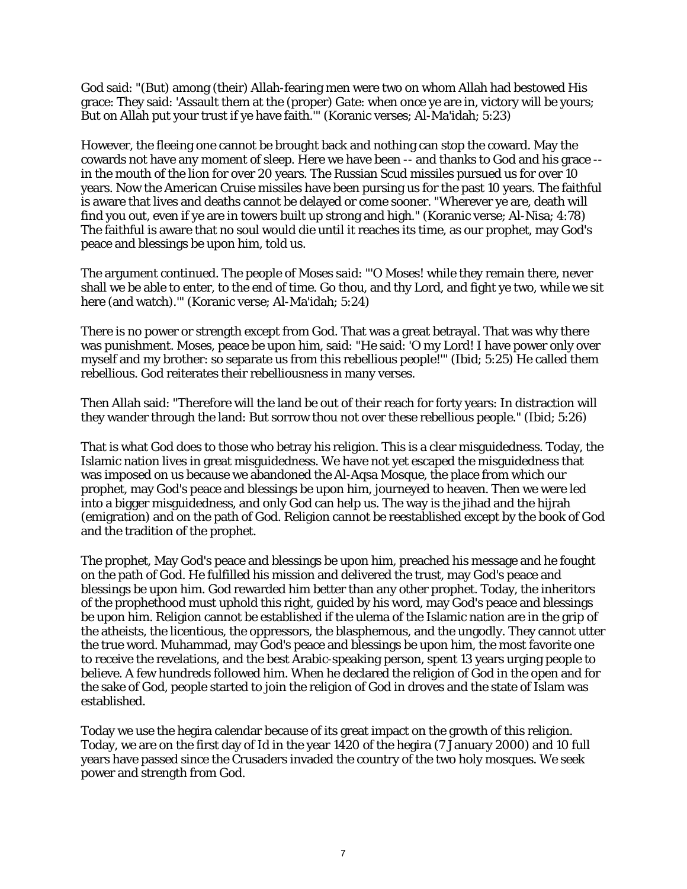God said: "(But) among (their) Allah-fearing men were two on whom Allah had bestowed His grace: They said: 'Assault them at the (proper) Gate: when once ye are in, victory will be yours; But on Allah put your trust if ye have faith.'" (Koranic verses; Al-Ma'idah; 5:23)

However, the fleeing one cannot be brought back and nothing can stop the coward. May the cowards not have any moment of sleep. Here we have been -- and thanks to God and his grace - in the mouth of the lion for over 20 years. The Russian Scud missiles pursued us for over 10 years. Now the American Cruise missiles have been pursing us for the past 10 years. The faithful is aware that lives and deaths cannot be delayed or come sooner. "Wherever ye are, death will find you out, even if ye are in towers built up strong and high." (Koranic verse; Al-Nisa; 4:78) The faithful is aware that no soul would die until it reaches its time, as our prophet, may God's peace and blessings be upon him, told us.

The argument continued. The people of Moses said: "'O Moses! while they remain there, never shall we be able to enter, to the end of time. Go thou, and thy Lord, and fight ye two, while we sit here (and watch).'" (Koranic verse; Al-Ma'idah; 5:24)

There is no power or strength except from God. That was a great betrayal. That was why there was punishment. Moses, peace be upon him, said: "He said: 'O my Lord! I have power only over myself and my brother: so separate us from this rebellious people!'" (Ibid; 5:25) He called them rebellious. God reiterates their rebelliousness in many verses.

Then Allah said: "Therefore will the land be out of their reach for forty years: In distraction will they wander through the land: But sorrow thou not over these rebellious people." (Ibid; 5:26)

That is what God does to those who betray his religion. This is a clear misguidedness. Today, the Islamic nation lives in great misguidedness. We have not yet escaped the misguidedness that was imposed on us because we abandoned the Al-Aqsa Mosque, the place from which our prophet, may God's peace and blessings be upon him, journeyed to heaven. Then we were led into a bigger misguidedness, and only God can help us. The way is the jihad and the hijrah (emigration) and on the path of God. Religion cannot be reestablished except by the book of God and the tradition of the prophet.

The prophet, May God's peace and blessings be upon him, preached his message and he fought on the path of God. He fulfilled his mission and delivered the trust, may God's peace and blessings be upon him. God rewarded him better than any other prophet. Today, the inheritors of the prophethood must uphold this right, guided by his word, may God's peace and blessings be upon him. Religion cannot be established if the ulema of the Islamic nation are in the grip of the atheists, the licentious, the oppressors, the blasphemous, and the ungodly. They cannot utter the true word. Muhammad, may God's peace and blessings be upon him, the most favorite one to receive the revelations, and the best Arabic-speaking person, spent 13 years urging people to believe. A few hundreds followed him. When he declared the religion of God in the open and for the sake of God, people started to join the religion of God in droves and the state of Islam was established.

Today we use the hegira calendar because of its great impact on the growth of this religion. Today, we are on the first day of Id in the year 1420 of the hegira (7 January 2000) and 10 full years have passed since the Crusaders invaded the country of the two holy mosques. We seek power and strength from God.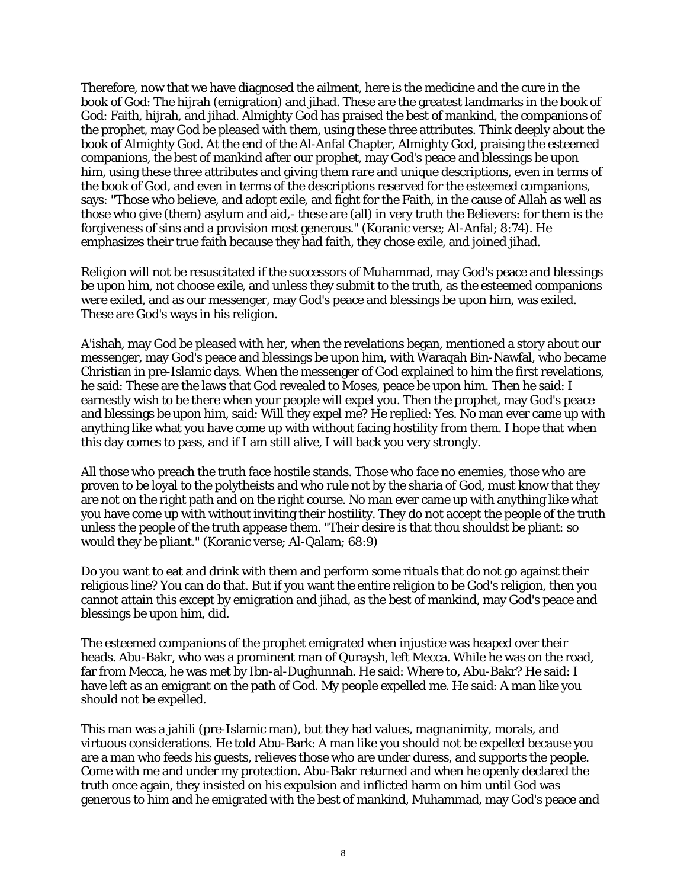Therefore, now that we have diagnosed the ailment, here is the medicine and the cure in the book of God: The hijrah (emigration) and jihad. These are the greatest landmarks in the book of God: Faith, hijrah, and jihad. Almighty God has praised the best of mankind, the companions of the prophet, may God be pleased with them, using these three attributes. Think deeply about the book of Almighty God. At the end of the Al-Anfal Chapter, Almighty God, praising the esteemed companions, the best of mankind after our prophet, may God's peace and blessings be upon him, using these three attributes and giving them rare and unique descriptions, even in terms of the book of God, and even in terms of the descriptions reserved for the esteemed companions, says: "Those who believe, and adopt exile, and fight for the Faith, in the cause of Allah as well as those who give (them) asylum and aid,- these are (all) in very truth the Believers: for them is the forgiveness of sins and a provision most generous." (Koranic verse; Al-Anfal; 8:74). He emphasizes their true faith because they had faith, they chose exile, and joined jihad.

Religion will not be resuscitated if the successors of Muhammad, may God's peace and blessings be upon him, not choose exile, and unless they submit to the truth, as the esteemed companions were exiled, and as our messenger, may God's peace and blessings be upon him, was exiled. These are God's ways in his religion.

A'ishah, may God be pleased with her, when the revelations began, mentioned a story about our messenger, may God's peace and blessings be upon him, with Waraqah Bin-Nawfal, who became Christian in pre-Islamic days. When the messenger of God explained to him the first revelations, he said: These are the laws that God revealed to Moses, peace be upon him. Then he said: I earnestly wish to be there when your people will expel you. Then the prophet, may God's peace and blessings be upon him, said: Will they expel me? He replied: Yes. No man ever came up with anything like what you have come up with without facing hostility from them. I hope that when this day comes to pass, and if I am still alive, I will back you very strongly.

All those who preach the truth face hostile stands. Those who face no enemies, those who are proven to be loyal to the polytheists and who rule not by the sharia of God, must know that they are not on the right path and on the right course. No man ever came up with anything like what you have come up with without inviting their hostility. They do not accept the people of the truth unless the people of the truth appease them. "Their desire is that thou shouldst be pliant: so would they be pliant." (Koranic verse; Al-Qalam; 68:9)

Do you want to eat and drink with them and perform some rituals that do not go against their religious line? You can do that. But if you want the entire religion to be God's religion, then you cannot attain this except by emigration and jihad, as the best of mankind, may God's peace and blessings be upon him, did.

The esteemed companions of the prophet emigrated when injustice was heaped over their heads. Abu-Bakr, who was a prominent man of Quraysh, left Mecca. While he was on the road, far from Mecca, he was met by Ibn-al-Dughunnah. He said: Where to, Abu-Bakr? He said: I have left as an emigrant on the path of God. My people expelled me. He said: A man like you should not be expelled.

This man was a jahili (pre-Islamic man), but they had values, magnanimity, morals, and virtuous considerations. He told Abu-Bark: A man like you should not be expelled because you are a man who feeds his guests, relieves those who are under duress, and supports the people. Come with me and under my protection. Abu-Bakr returned and when he openly declared the truth once again, they insisted on his expulsion and inflicted harm on him until God was generous to him and he emigrated with the best of mankind, Muhammad, may God's peace and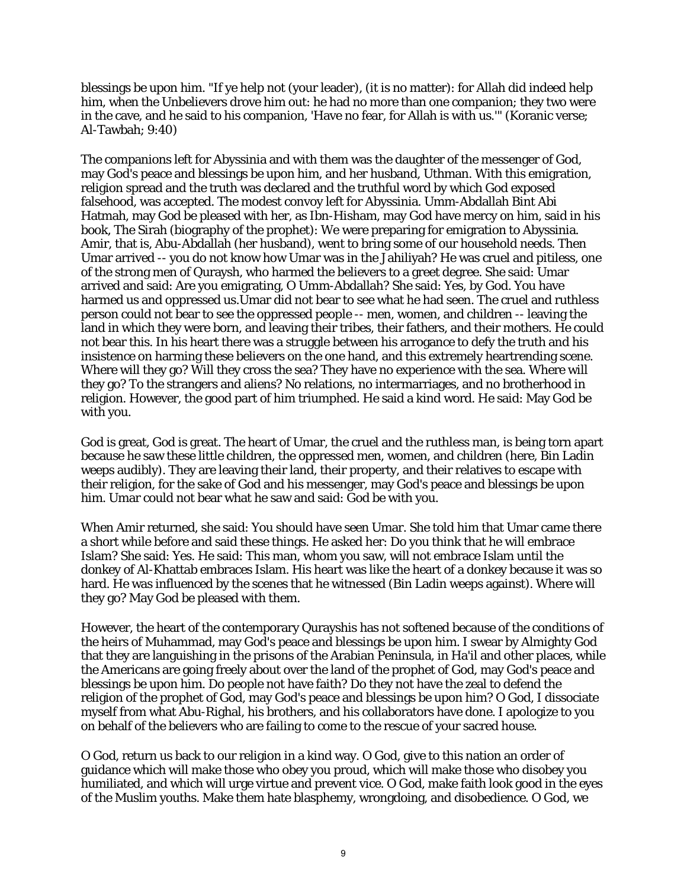blessings be upon him. "If ye help not (your leader), (it is no matter): for Allah did indeed help him, when the Unbelievers drove him out: he had no more than one companion; they two were in the cave, and he said to his companion, 'Have no fear, for Allah is with us.'" (Koranic verse; Al-Tawbah; 9:40)

The companions left for Abyssinia and with them was the daughter of the messenger of God, may God's peace and blessings be upon him, and her husband, Uthman. With this emigration, religion spread and the truth was declared and the truthful word by which God exposed falsehood, was accepted. The modest convoy left for Abyssinia. Umm-Abdallah Bint Abi Hatmah, may God be pleased with her, as Ibn-Hisham, may God have mercy on him, said in his book, The Sirah (biography of the prophet): We were preparing for emigration to Abyssinia. Amir, that is, Abu-Abdallah (her husband), went to bring some of our household needs. Then Umar arrived -- you do not know how Umar was in the Jahiliyah? He was cruel and pitiless, one of the strong men of Quraysh, who harmed the believers to a greet degree. She said: Umar arrived and said: Are you emigrating, O Umm-Abdallah? She said: Yes, by God. You have harmed us and oppressed us.Umar did not bear to see what he had seen. The cruel and ruthless person could not bear to see the oppressed people -- men, women, and children -- leaving the land in which they were born, and leaving their tribes, their fathers, and their mothers. He could not bear this. In his heart there was a struggle between his arrogance to defy the truth and his insistence on harming these believers on the one hand, and this extremely heartrending scene. Where will they go? Will they cross the sea? They have no experience with the sea. Where will they go? To the strangers and aliens? No relations, no intermarriages, and no brotherhood in religion. However, the good part of him triumphed. He said a kind word. He said: May God be with you.

God is great, God is great. The heart of Umar, the cruel and the ruthless man, is being torn apart because he saw these little children, the oppressed men, women, and children (here, Bin Ladin weeps audibly). They are leaving their land, their property, and their relatives to escape with their religion, for the sake of God and his messenger, may God's peace and blessings be upon him. Umar could not bear what he saw and said: God be with you.

When Amir returned, she said: You should have seen Umar. She told him that Umar came there a short while before and said these things. He asked her: Do you think that he will embrace Islam? She said: Yes. He said: This man, whom you saw, will not embrace Islam until the donkey of Al-Khattab embraces Islam. His heart was like the heart of a donkey because it was so hard. He was influenced by the scenes that he witnessed (Bin Ladin weeps against). Where will they go? May God be pleased with them.

However, the heart of the contemporary Qurayshis has not softened because of the conditions of the heirs of Muhammad, may God's peace and blessings be upon him. I swear by Almighty God that they are languishing in the prisons of the Arabian Peninsula, in Ha'il and other places, while the Americans are going freely about over the land of the prophet of God, may God's peace and blessings be upon him. Do people not have faith? Do they not have the zeal to defend the religion of the prophet of God, may God's peace and blessings be upon him? O God, I dissociate myself from what Abu-Righal, his brothers, and his collaborators have done. I apologize to you on behalf of the believers who are failing to come to the rescue of your sacred house.

O God, return us back to our religion in a kind way. O God, give to this nation an order of guidance which will make those who obey you proud, which will make those who disobey you humiliated, and which will urge virtue and prevent vice. O God, make faith look good in the eyes of the Muslim youths. Make them hate blasphemy, wrongdoing, and disobedience. O God, we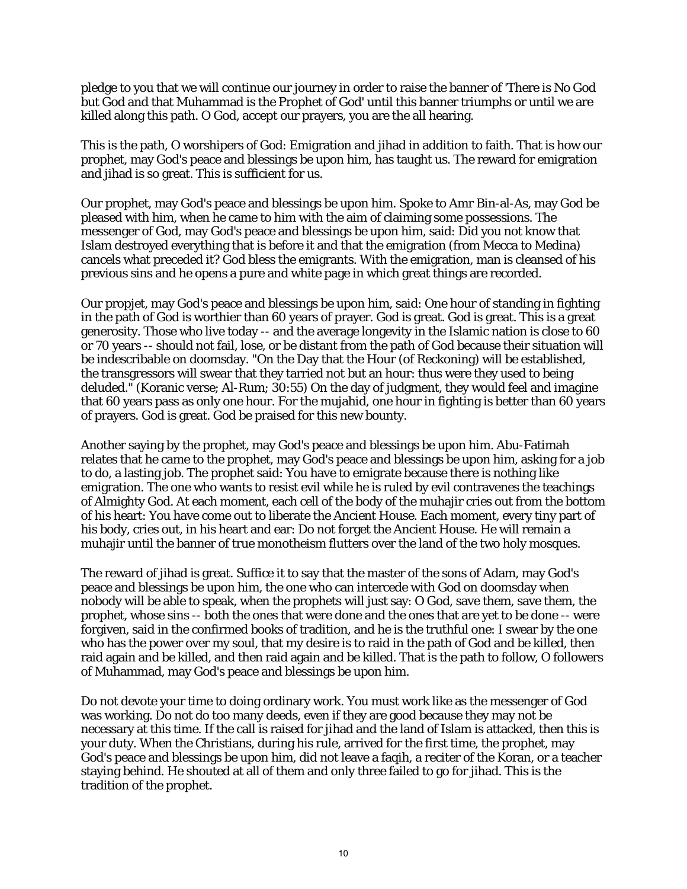pledge to you that we will continue our journey in order to raise the banner of 'There is No God but God and that Muhammad is the Prophet of God' until this banner triumphs or until we are killed along this path. O God, accept our prayers, you are the all hearing.

This is the path, O worshipers of God: Emigration and jihad in addition to faith. That is how our prophet, may God's peace and blessings be upon him, has taught us. The reward for emigration and jihad is so great. This is sufficient for us.

Our prophet, may God's peace and blessings be upon him. Spoke to Amr Bin-al-As, may God be pleased with him, when he came to him with the aim of claiming some possessions. The messenger of God, may God's peace and blessings be upon him, said: Did you not know that Islam destroyed everything that is before it and that the emigration (from Mecca to Medina) cancels what preceded it? God bless the emigrants. With the emigration, man is cleansed of his previous sins and he opens a pure and white page in which great things are recorded.

Our propjet, may God's peace and blessings be upon him, said: One hour of standing in fighting in the path of God is worthier than 60 years of prayer. God is great. God is great. This is a great generosity. Those who live today -- and the average longevity in the Islamic nation is close to 60 or 70 years -- should not fail, lose, or be distant from the path of God because their situation will be indescribable on doomsday. "On the Day that the Hour (of Reckoning) will be established, the transgressors will swear that they tarried not but an hour: thus were they used to being deluded." (Koranic verse; Al-Rum; 30:55) On the day of judgment, they would feel and imagine that 60 years pass as only one hour. For the mujahid, one hour in fighting is better than 60 years of prayers. God is great. God be praised for this new bounty.

Another saying by the prophet, may God's peace and blessings be upon him. Abu-Fatimah relates that he came to the prophet, may God's peace and blessings be upon him, asking for a job to do, a lasting job. The prophet said: You have to emigrate because there is nothing like emigration. The one who wants to resist evil while he is ruled by evil contravenes the teachings of Almighty God. At each moment, each cell of the body of the muhajir cries out from the bottom of his heart: You have come out to liberate the Ancient House. Each moment, every tiny part of his body, cries out, in his heart and ear: Do not forget the Ancient House. He will remain a muhajir until the banner of true monotheism flutters over the land of the two holy mosques.

The reward of jihad is great. Suffice it to say that the master of the sons of Adam, may God's peace and blessings be upon him, the one who can intercede with God on doomsday when nobody will be able to speak, when the prophets will just say: O God, save them, save them, the prophet, whose sins -- both the ones that were done and the ones that are yet to be done -- were forgiven, said in the confirmed books of tradition, and he is the truthful one: I swear by the one who has the power over my soul, that my desire is to raid in the path of God and be killed, then raid again and be killed, and then raid again and be killed. That is the path to follow, O followers of Muhammad, may God's peace and blessings be upon him.

Do not devote your time to doing ordinary work. You must work like as the messenger of God was working. Do not do too many deeds, even if they are good because they may not be necessary at this time. If the call is raised for jihad and the land of Islam is attacked, then this is your duty. When the Christians, during his rule, arrived for the first time, the prophet, may God's peace and blessings be upon him, did not leave a faqih, a reciter of the Koran, or a teacher staying behind. He shouted at all of them and only three failed to go for jihad. This is the tradition of the prophet.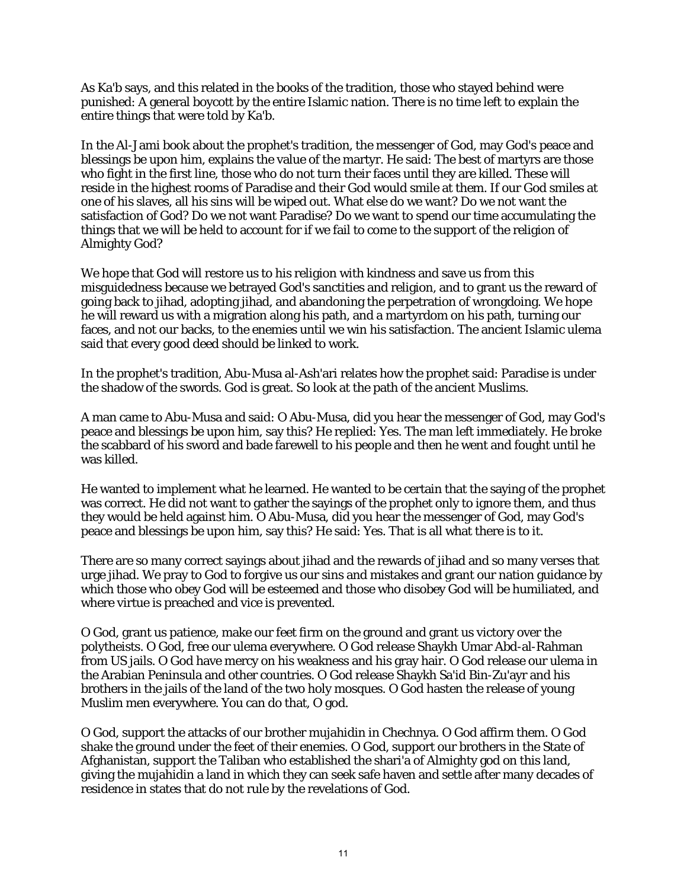As Ka'b says, and this related in the books of the tradition, those who stayed behind were punished: A general boycott by the entire Islamic nation. There is no time left to explain the entire things that were told by Ka'b.

In the Al-Jami book about the prophet's tradition, the messenger of God, may God's peace and blessings be upon him, explains the value of the martyr. He said: The best of martyrs are those who fight in the first line, those who do not turn their faces until they are killed. These will reside in the highest rooms of Paradise and their God would smile at them. If our God smiles at one of his slaves, all his sins will be wiped out. What else do we want? Do we not want the satisfaction of God? Do we not want Paradise? Do we want to spend our time accumulating the things that we will be held to account for if we fail to come to the support of the religion of Almighty God?

We hope that God will restore us to his religion with kindness and save us from this misguidedness because we betrayed God's sanctities and religion, and to grant us the reward of going back to jihad, adopting jihad, and abandoning the perpetration of wrongdoing. We hope he will reward us with a migration along his path, and a martyrdom on his path, turning our faces, and not our backs, to the enemies until we win his satisfaction. The ancient Islamic ulema said that every good deed should be linked to work.

In the prophet's tradition, Abu-Musa al-Ash'ari relates how the prophet said: Paradise is under the shadow of the swords. God is great. So look at the path of the ancient Muslims.

A man came to Abu-Musa and said: O Abu-Musa, did you hear the messenger of God, may God's peace and blessings be upon him, say this? He replied: Yes. The man left immediately. He broke the scabbard of his sword and bade farewell to his people and then he went and fought until he was killed.

He wanted to implement what he learned. He wanted to be certain that the saying of the prophet was correct. He did not want to gather the sayings of the prophet only to ignore them, and thus they would be held against him. O Abu-Musa, did you hear the messenger of God, may God's peace and blessings be upon him, say this? He said: Yes. That is all what there is to it.

There are so many correct sayings about jihad and the rewards of jihad and so many verses that urge jihad. We pray to God to forgive us our sins and mistakes and grant our nation guidance by which those who obey God will be esteemed and those who disobey God will be humiliated, and where virtue is preached and vice is prevented.

O God, grant us patience, make our feet firm on the ground and grant us victory over the polytheists. O God, free our ulema everywhere. O God release Shaykh Umar Abd-al-Rahman from US jails. O God have mercy on his weakness and his gray hair. O God release our ulema in the Arabian Peninsula and other countries. O God release Shaykh Sa'id Bin-Zu'ayr and his brothers in the jails of the land of the two holy mosques. O God hasten the release of young Muslim men everywhere. You can do that, O god.

O God, support the attacks of our brother mujahidin in Chechnya. O God affirm them. O God shake the ground under the feet of their enemies. O God, support our brothers in the State of Afghanistan, support the Taliban who established the shari'a of Almighty god on this land, giving the mujahidin a land in which they can seek safe haven and settle after many decades of residence in states that do not rule by the revelations of God.